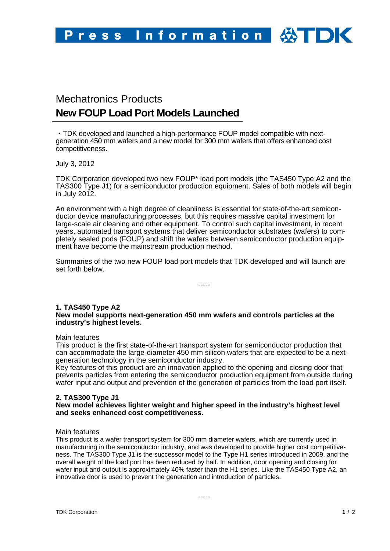# Mechatronics Products **New FOUP Load Port Models Launched**

・TDK developed and launched a high-performance FOUP model compatible with nextgeneration 450 mm wafers and a new model for 300 mm wafers that offers enhanced cost competitiveness.

July 3, 2012

TDK Corporation developed two new FOUP\* load port models (the TAS450 Type A2 and the TAS300 Type J1) for a semiconductor production equipment. Sales of both models will begin in July 2012.

An environment with a high degree of cleanliness is essential for state-of-the-art semiconductor device manufacturing processes, but this requires massive capital investment for large-scale air cleaning and other equipment. To control such capital investment, in recent years, automated transport systems that deliver semiconductor substrates (wafers) to completely sealed pods (FOUP) and shift the wafers between semiconductor production equipment have become the mainstream production method.

Summaries of the two new FOUP load port models that TDK developed and will launch are set forth below.

-----

## **1. TAS450 Type A2 New model supports next-generation 450 mm wafers and controls particles at the industry's highest levels.**

### Main features

This product is the first state-of-the-art transport system for semiconductor production that can accommodate the large-diameter 450 mm silicon wafers that are expected to be a nextgeneration technology in the semiconductor industry.

Key features of this product are an innovation applied to the opening and closing door that prevents particles from entering the semiconductor production equipment from outside during wafer input and output and prevention of the generation of particles from the load port itself.

## **2. TAS300 Type J1**

## **New model achieves lighter weight and higher speed in the industry's highest level and seeks enhanced cost competitiveness.**

## Main features

This product is a wafer transport system for 300 mm diameter wafers, which are currently used in manufacturing in the semiconductor industry, and was developed to provide higher cost competitiveness. The TAS300 Type J1 is the successor model to the Type H1 series introduced in 2009, and the overall weight of the load port has been reduced by half. In addition, door opening and closing for wafer input and output is approximately 40% faster than the H1 series. Like the TAS450 Type A2, an innovative door is used to prevent the generation and introduction of particles.